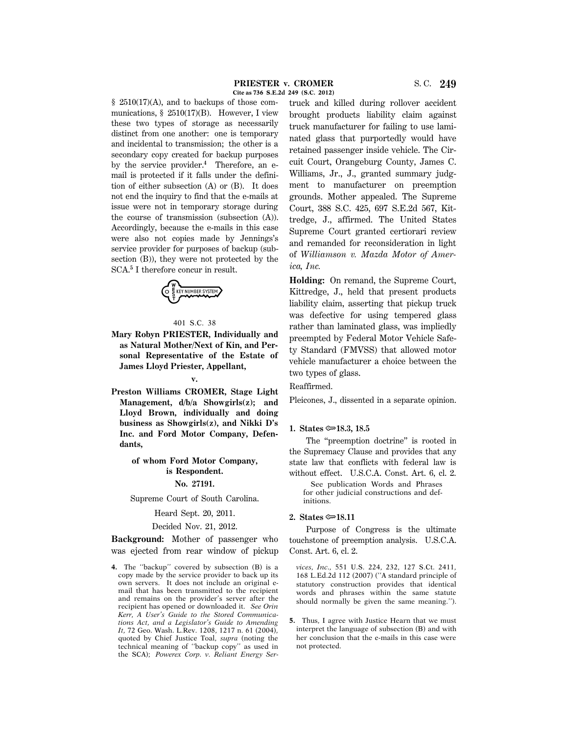$§$  2510(17)(A), and to backups of those communications,  $\S$  2510(17)(B). However, I view these two types of storage as necessarily distinct from one another: one is temporary and incidental to transmission; the other is a secondary copy created for backup purposes by the service provider.**<sup>4</sup>** Therefore, an email is protected if it falls under the definition of either subsection (A) or (B). It does not end the inquiry to find that the e-mails at issue were not in temporary storage during the course of transmission (subsection (A)). Accordingly, because the e-mails in this case were also not copies made by Jennings's service provider for purposes of backup (subsection (B)), they were not protected by the SCA.**<sup>5</sup>** I therefore concur in result.



#### 401 S.C. 38

**Mary Robyn PRIESTER, Individually and as Natural Mother/Next of Kin, and Personal Representative of the Estate of James Lloyd Priester, Appellant,**

**v.**

**Preston Williams CROMER, Stage Light Management, d/b/a Showgirls(z); and Lloyd Brown, individually and doing business as Showgirls(z), and Nikki D's Inc. and Ford Motor Company, Defendants,**

# **of whom Ford Motor Company, is Respondent.**

#### **No. 27191.**

Supreme Court of South Carolina.

#### Heard Sept. 20, 2011.

#### Decided Nov. 21, 2012.

**Background:** Mother of passenger who was ejected from rear window of pickup

**4.** The ''backup'' covered by subsection (B) is a copy made by the service provider to back up its own servers. It does not include an original email that has been transmitted to the recipient and remains on the provider's server after the recipient has opened or downloaded it. *See Orin Kerr, A User's Guide to the Stored Communications Act, and a Legislator's Guide to Amending It,* 72 Geo. Wash. L.Rev. 1208, 1217 n. 61 (2004), quoted by Chief Justice Toal, *supra* (noting the technical meaning of ''backup copy'' as used in the SCA); *Powerex Corp. v. Reliant Energy Ser*-

truck and killed during rollover accident brought products liability claim against truck manufacturer for failing to use laminated glass that purportedly would have retained passenger inside vehicle. The Circuit Court, Orangeburg County, James C. Williams, Jr., J., granted summary judgment to manufacturer on preemption grounds. Mother appealed. The Supreme Court, 388 S.C. 425, 697 S.E.2d 567, Kittredge, J., affirmed. The United States Supreme Court granted certiorari review and remanded for reconsideration in light of *Williamson v. Mazda Motor of America, Inc.*

**Holding:** On remand, the Supreme Court, Kittredge, J., held that present products liability claim, asserting that pickup truck was defective for using tempered glass rather than laminated glass, was impliedly preempted by Federal Motor Vehicle Safety Standard (FMVSS) that allowed motor vehicle manufacturer a choice between the two types of glass.

Reaffirmed.

Pleicones, J., dissented in a separate opinion.

#### **1.** States  $\approx$  18.3, 18.5

The "preemption doctrine" is rooted in the Supremacy Clause and provides that any state law that conflicts with federal law is without effect. U.S.C.A. Const. Art. 6, cl. 2.

 See publication Words and Phrases for other judicial constructions and definitions.

### **2. States**  $\approx 18.11$

Purpose of Congress is the ultimate touchstone of preemption analysis. U.S.C.A. Const. Art. 6, cl. 2.

*vices, Inc.,* 551 U.S. 224, 232, 127 S.Ct. 2411, 168 L.Ed.2d 112 (2007) (''A standard principle of statutory construction provides that identical words and phrases within the same statute should normally be given the same meaning.'').

**5.** Thus, I agree with Justice Hearn that we must interpret the language of subsection (B) and with her conclusion that the e-mails in this case were not protected.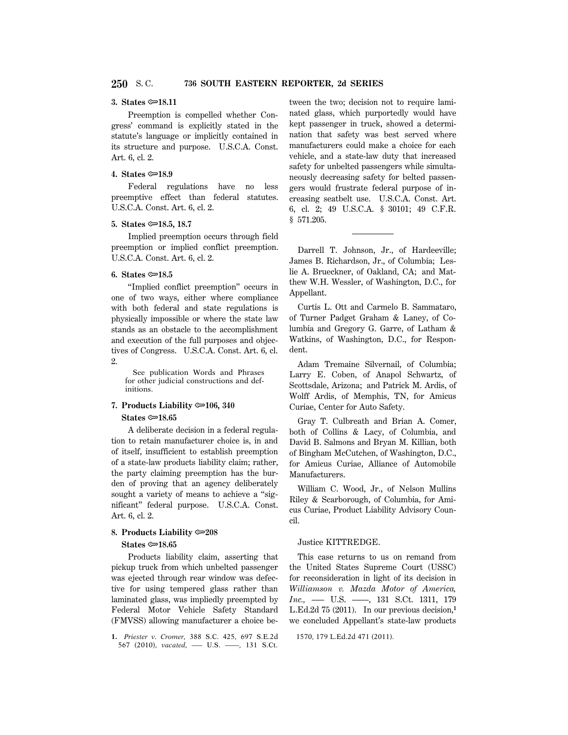#### **3.** States <del>○</del>18.11

Preemption is compelled whether Congress' command is explicitly stated in the statute's language or implicitly contained in its structure and purpose. U.S.C.A. Const. Art. 6, cl. 2.

### **4.** States  $\textcircled{=}18.9$

Federal regulations have no less preemptive effect than federal statutes. U.S.C.A. Const. Art. 6, cl. 2.

#### **5. States** O**18.5, 18.7**

Implied preemption occurs through field preemption or implied conflict preemption. U.S.C.A. Const. Art. 6, cl. 2.

# **6.** States  $\approx 18.5$

''Implied conflict preemption'' occurs in one of two ways, either where compliance with both federal and state regulations is physically impossible or where the state law stands as an obstacle to the accomplishment and execution of the full purposes and objectives of Congress. U.S.C.A. Const. Art. 6, cl. 2.

 See publication Words and Phrases for other judicial constructions and definitions.

# **7. Products Liability** O**106, 340**

# **States ©**<sup>18.65</sup>

A deliberate decision in a federal regulation to retain manufacturer choice is, in and of itself, insufficient to establish preemption of a state-law products liability claim; rather, the party claiming preemption has the burden of proving that an agency deliberately sought a variety of means to achieve a ''significant'' federal purpose. U.S.C.A. Const. Art. 6, cl. 2.

# **8. Products Liability** O**208**

### **States** O**18.65**

Products liability claim, asserting that pickup truck from which unbelted passenger was ejected through rear window was defective for using tempered glass rather than laminated glass, was impliedly preempted by Federal Motor Vehicle Safety Standard (FMVSS) allowing manufacturer a choice be-

**1.** *Priester v. Cromer,* 388 S.C. 425, 697 S.E.2d 567 (2010), *vacated*, - U.S. -, 131 S.Ct.

tween the two; decision not to require laminated glass, which purportedly would have kept passenger in truck, showed a determination that safety was best served where manufacturers could make a choice for each vehicle, and a state-law duty that increased safety for unbelted passengers while simultaneously decreasing safety for belted passengers would frustrate federal purpose of increasing seatbelt use. U.S.C.A. Const. Art. 6, cl. 2; 49 U.S.C.A. § 30101; 49 C.F.R. § 571.205.

Darrell T. Johnson, Jr., of Hardeeville; James B. Richardson, Jr., of Columbia; Leslie A. Brueckner, of Oakland, CA; and Matthew W.H. Wessler, of Washington, D.C., for Appellant.

Curtis L. Ott and Carmelo B. Sammataro, of Turner Padget Graham & Laney, of Columbia and Gregory G. Garre, of Latham & Watkins, of Washington, D.C., for Respondent.

Adam Tremaine Silvernail, of Columbia; Larry E. Coben, of Anapol Schwartz, of Scottsdale, Arizona; and Patrick M. Ardis, of Wolff Ardis, of Memphis, TN, for Amicus Curiae, Center for Auto Safety.

Gray T. Culbreath and Brian A. Comer, both of Collins & Lacy, of Columbia, and David B. Salmons and Bryan M. Killian, both of Bingham McCutchen, of Washington, D.C., for Amicus Curiae, Alliance of Automobile Manufacturers.

William C. Wood, Jr., of Nelson Mullins Riley & Scarborough, of Columbia, for Amicus Curiae, Product Liability Advisory Council.

#### Justice KITTREDGE.

This case returns to us on remand from the United States Supreme Court (USSC) for reconsideration in light of its decision in *Williamson v. Mazda Motor of America, Inc.,* ––– U.S. ––––, 131 S.Ct. 1311, 179 L.Ed.2d 75 (2011). In our previous decision,**<sup>1</sup>** we concluded Appellant's state-law products

```
1570, 179 L.Ed.2d 471 (2011).
```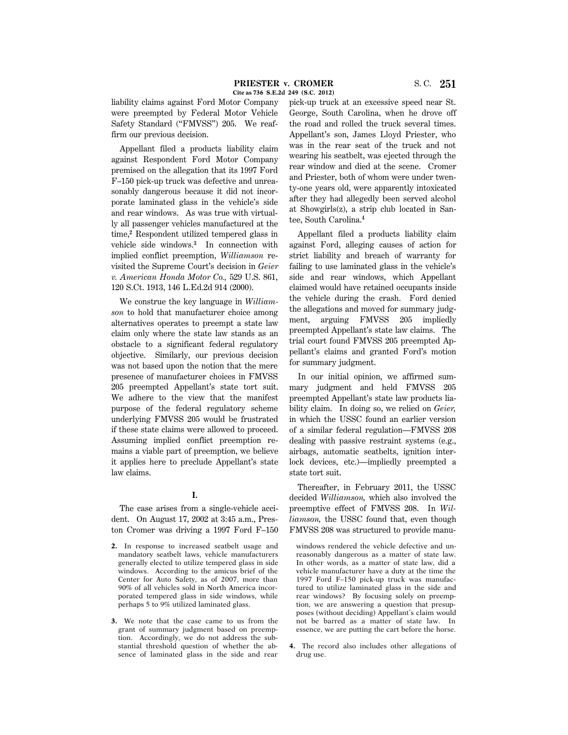liability claims against Ford Motor Company were preempted by Federal Motor Vehicle Safety Standard ("FMVSS") 205. We reaffirm our previous decision.

Appellant filed a products liability claim against Respondent Ford Motor Company premised on the allegation that its 1997 Ford F–150 pick-up truck was defective and unreasonably dangerous because it did not incorporate laminated glass in the vehicle's side and rear windows. As was true with virtually all passenger vehicles manufactured at the time,**<sup>2</sup>** Respondent utilized tempered glass in vehicle side windows.**<sup>3</sup>** In connection with implied conflict preemption, *Williamson* revisited the Supreme Court's decision in *Geier v. American Honda Motor Co.,* 529 U.S. 861, 120 S.Ct. 1913, 146 L.Ed.2d 914 (2000).

We construe the key language in *Williamson* to hold that manufacturer choice among alternatives operates to preempt a state law claim only where the state law stands as an obstacle to a significant federal regulatory objective. Similarly, our previous decision was not based upon the notion that the mere presence of manufacturer choices in FMVSS 205 preempted Appellant's state tort suit. We adhere to the view that the manifest purpose of the federal regulatory scheme underlying FMVSS 205 would be frustrated if these state claims were allowed to proceed. Assuming implied conflict preemption remains a viable part of preemption, we believe it applies here to preclude Appellant's state law claims.

# **I.**

The case arises from a single-vehicle accident. On August 17, 2002 at 3:45 a.m., Preston Cromer was driving a 1997 Ford F–150

- **2.** In response to increased seatbelt usage and mandatory seatbelt laws, vehicle manufacturers generally elected to utilize tempered glass in side windows. According to the amicus brief of the Center for Auto Safety, as of 2007, more than 90% of all vehicles sold in North America incorporated tempered glass in side windows, while perhaps 5 to 9% utilized laminated glass.
- **3.** We note that the case came to us from the grant of summary judgment based on preemption. Accordingly, we do not address the substantial threshold question of whether the absence of laminated glass in the side and rear

pick-up truck at an excessive speed near St. George, South Carolina, when he drove off the road and rolled the truck several times. Appellant's son, James Lloyd Priester, who was in the rear seat of the truck and not wearing his seatbelt, was ejected through the rear window and died at the scene. Cromer and Priester, both of whom were under twenty-one years old, were apparently intoxicated after they had allegedly been served alcohol at Showgirls(z), a strip club located in Santee, South Carolina.**<sup>4</sup>**

Appellant filed a products liability claim against Ford, alleging causes of action for strict liability and breach of warranty for failing to use laminated glass in the vehicle's side and rear windows, which Appellant claimed would have retained occupants inside the vehicle during the crash. Ford denied the allegations and moved for summary judgment, arguing FMVSS 205 impliedly preempted Appellant's state law claims. The trial court found FMVSS 205 preempted Appellant's claims and granted Ford's motion for summary judgment.

In our initial opinion, we affirmed summary judgment and held FMVSS 205 preempted Appellant's state law products liability claim. In doing so, we relied on *Geier,* in which the USSC found an earlier version of a similar federal regulation—FMVSS 208 dealing with passive restraint systems (e.g., airbags, automatic seatbelts, ignition interlock devices, etc.)—impliedly preempted a state tort suit.

Thereafter, in February 2011, the USSC decided *Williamson,* which also involved the preemptive effect of FMVSS 208. In *Williamson,* the USSC found that, even though FMVSS 208 was structured to provide manu-

windows rendered the vehicle defective and unreasonably dangerous as a matter of state law. In other words, as a matter of state law, did a vehicle manufacturer have a duty at the time the 1997 Ford F–150 pick-up truck was manufactured to utilize laminated glass in the side and rear windows? By focusing solely on preemption, we are answering a question that presupposes (without deciding) Appellant's claim would not be barred as a matter of state law. In essence, we are putting the cart before the horse.

**4.** The record also includes other allegations of drug use.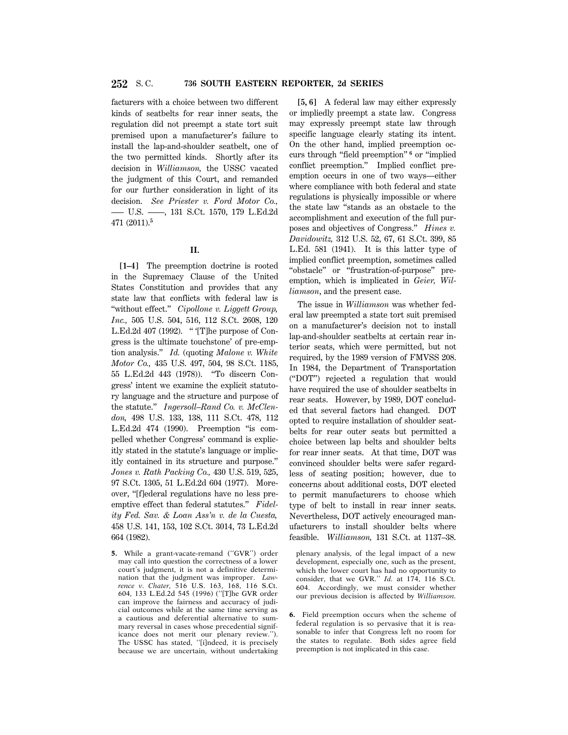facturers with a choice between two different kinds of seatbelts for rear inner seats, the regulation did not preempt a state tort suit premised upon a manufacturer's failure to install the lap-and-shoulder seatbelt, one of the two permitted kinds. Shortly after its decision in *Williamson,* the USSC vacated the judgment of this Court, and remanded for our further consideration in light of its decision. *See Priester v. Ford Motor Co.,* ––– U.S. ––––, 131 S.Ct. 1570, 179 L.Ed.2d 471 (2011).**<sup>5</sup>**

# **II.**

**[1–4]** The preemption doctrine is rooted in the Supremacy Clause of the United States Constitution and provides that any state law that conflicts with federal law is ''without effect.'' *Cipollone v. Liggett Group, Inc.,* 505 U.S. 504, 516, 112 S.Ct. 2608, 120 L.Ed.2d 407 (1992). '' '[T]he purpose of Congress is the ultimate touchstone' of pre-emption analysis.'' *Id.* (quoting *Malone v. White Motor Co.,* 435 U.S. 497, 504, 98 S.Ct. 1185, 55 L.Ed.2d 443 (1978)). ''To discern Congress' intent we examine the explicit statutory language and the structure and purpose of the statute.'' *Ingersoll–Rand Co. v. McClendon,* 498 U.S. 133, 138, 111 S.Ct. 478, 112 L.Ed.2d 474 (1990). Preemption ''is compelled whether Congress' command is explicitly stated in the statute's language or implicitly contained in its structure and purpose.'' *Jones v. Rath Packing Co.,* 430 U.S. 519, 525, 97 S.Ct. 1305, 51 L.Ed.2d 604 (1977). Moreover, ''[f]ederal regulations have no less preemptive effect than federal statutes.'' *Fidelity Fed. Sav. & Loan Ass'n v. de la Cuesta,* 458 U.S. 141, 153, 102 S.Ct. 3014, 73 L.Ed.2d 664 (1982).

**5.** While a grant-vacate-remand (''GVR'') order may call into question the correctness of a lower court's judgment, it is not a definitive determination that the judgment was improper. *Lawrence v. Chater,* 516 U.S. 163, 168, 116 S.Ct. 604, 133 L.Ed.2d 545 (1996) (''[T]he GVR order can improve the fairness and accuracy of judicial outcomes while at the same time serving as a cautious and deferential alternative to summary reversal in cases whose precedential significance does not merit our plenary review.''). The USSC has stated, ''[i]ndeed, it is precisely because we are uncertain, without undertaking

**[5, 6]** A federal law may either expressly or impliedly preempt a state law. Congress may expressly preempt state law through specific language clearly stating its intent. On the other hand, implied preemption occurs through ''field preemption'' **<sup>6</sup>** or ''implied conflict preemption.'' Implied conflict preemption occurs in one of two ways—either where compliance with both federal and state regulations is physically impossible or where the state law ''stands as an obstacle to the accomplishment and execution of the full purposes and objectives of Congress.'' *Hines v. Davidowitz,* 312 U.S. 52, 67, 61 S.Ct. 399, 85 L.Ed. 581 (1941). It is this latter type of implied conflict preemption, sometimes called ''obstacle'' or ''frustration-of-purpose'' preemption, which is implicated in *Geier, Williamson*, and the present case.

The issue in *Williamson* was whether federal law preempted a state tort suit premised on a manufacturer's decision not to install lap-and-shoulder seatbelts at certain rear interior seats, which were permitted, but not required, by the 1989 version of FMVSS 208. In 1984, the Department of Transportation (''DOT'') rejected a regulation that would have required the use of shoulder seatbelts in rear seats. However, by 1989, DOT concluded that several factors had changed. DOT opted to require installation of shoulder seatbelts for rear outer seats but permitted a choice between lap belts and shoulder belts for rear inner seats. At that time, DOT was convinced shoulder belts were safer regardless of seating position; however, due to concerns about additional costs, DOT elected to permit manufacturers to choose which type of belt to install in rear inner seats. Nevertheless, DOT actively encouraged manufacturers to install shoulder belts where feasible. *Williamson,* 131 S.Ct. at 1137–38.

plenary analysis, of the legal impact of a new development, especially one, such as the present, which the lower court has had no opportunity to consider, that we GVR.'' *Id.* at 174, 116 S.Ct. 604. Accordingly, we must consider whether our previous decision is affected by *Williamson.*

**6.** Field preemption occurs when the scheme of federal regulation is so pervasive that it is reasonable to infer that Congress left no room for the states to regulate. Both sides agree field preemption is not implicated in this case.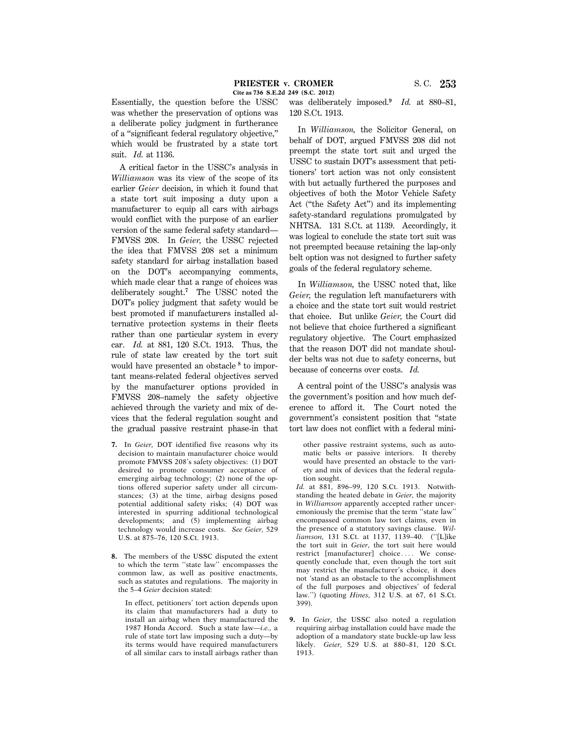Essentially, the question before the USSC was whether the preservation of options was a deliberate policy judgment in furtherance of a ''significant federal regulatory objective,'' which would be frustrated by a state tort suit. *Id.* at 1136.

A critical factor in the USSC's analysis in *Williamson* was its view of the scope of its earlier *Geier* decision, in which it found that a state tort suit imposing a duty upon a manufacturer to equip all cars with airbags would conflict with the purpose of an earlier version of the same federal safety standard— FMVSS 208. In *Geier,* the USSC rejected the idea that FMVSS 208 set a minimum safety standard for airbag installation based on the DOT's accompanying comments, which made clear that a range of choices was deliberately sought.**<sup>7</sup>** The USSC noted the DOT's policy judgment that safety would be best promoted if manufacturers installed alternative protection systems in their fleets rather than one particular system in every car. *Id.* at 881, 120 S.Ct. 1913. Thus, the rule of state law created by the tort suit would have presented an obstacle **<sup>8</sup>** to important means-related federal objectives served by the manufacturer options provided in FMVSS 208–namely the safety objective achieved through the variety and mix of devices that the federal regulation sought and the gradual passive restraint phase-in that

- **7.** In *Geier,* DOT identified five reasons why its decision to maintain manufacturer choice would promote FMVSS 208's safety objectives: (1) DOT desired to promote consumer acceptance of emerging airbag technology; (2) none of the options offered superior safety under all circumstances; (3) at the time, airbag designs posed potential additional safety risks; (4) DOT was interested in spurring additional technological developments; and (5) implementing airbag technology would increase costs. *See Geier,* 529 U.S. at 875–76, 120 S.Ct. 1913.
- **8.** The members of the USSC disputed the extent to which the term ''state law'' encompasses the common law, as well as positive enactments, such as statutes and regulations. The majority in the 5–4 *Geier* decision stated:

In effect, petitioners' tort action depends upon its claim that manufacturers had a duty to install an airbag when they manufactured the 1987 Honda Accord. Such a state law—*i.e.,* a rule of state tort law imposing such a duty—by its terms would have required manufacturers of all similar cars to install airbags rather than

was deliberately imposed.**<sup>9</sup>** *Id.* at 880–81, 120 S.Ct. 1913.

In *Williamson,* the Solicitor General, on behalf of DOT, argued FMVSS 208 did not preempt the state tort suit and urged the USSC to sustain DOT's assessment that petitioners' tort action was not only consistent with but actually furthered the purposes and objectives of both the Motor Vehicle Safety Act (''the Safety Act'') and its implementing safety-standard regulations promulgated by NHTSA. 131 S.Ct. at 1139. Accordingly, it was logical to conclude the state tort suit was not preempted because retaining the lap-only belt option was not designed to further safety goals of the federal regulatory scheme.

In *Williamson,* the USSC noted that, like *Geier,* the regulation left manufacturers with a choice and the state tort suit would restrict that choice. But unlike *Geier,* the Court did not believe that choice furthered a significant regulatory objective. The Court emphasized that the reason DOT did not mandate shoulder belts was not due to safety concerns, but because of concerns over costs. *Id.*

A central point of the USSC's analysis was the government's position and how much deference to afford it. The Court noted the government's consistent position that ''state tort law does not conflict with a federal mini-

other passive restraint systems, such as automatic belts or passive interiors. It thereby would have presented an obstacle to the variety and mix of devices that the federal regulation sought.

*Id.* at 881, 896–99, 120 S.Ct. 1913. Notwithstanding the heated debate in *Geier,* the majority in *Williamson* apparently accepted rather unceremoniously the premise that the term ''state law'' encompassed common law tort claims, even in the presence of a statutory savings clause. *Williamson,* 131 S.Ct. at 1137, 1139–40. (''[L]ike the tort suit in *Geier*, the tort suit here would restrict [manufacturer] choice.... We consequently conclude that, even though the tort suit may restrict the manufacturer's choice, it does not 'stand as an obstacle to the accomplishment of the full purposes and objectives' of federal law.'') (quoting *Hines,* 312 U.S. at 67, 61 S.Ct. 399).

**9.** In *Geier,* the USSC also noted a regulation requiring airbag installation could have made the adoption of a mandatory state buckle-up law less likely. *Geier,* 529 U.S. at 880–81, 120 S.Ct. 1913.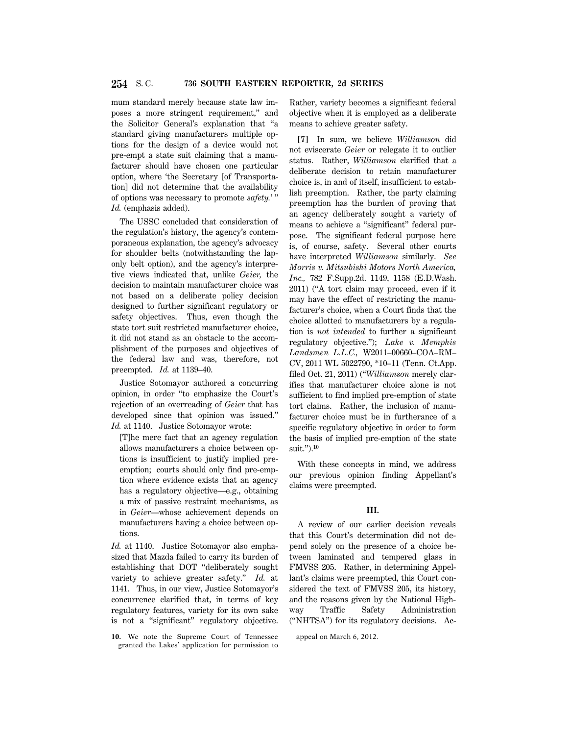mum standard merely because state law imposes a more stringent requirement,'' and the Solicitor General's explanation that ''a standard giving manufacturers multiple options for the design of a device would not pre-empt a state suit claiming that a manufacturer should have chosen one particular option, where 'the Secretary [of Transportation] did not determine that the availability of options was necessary to promote *safety.*' '' *Id.* (emphasis added).

The USSC concluded that consideration of the regulation's history, the agency's contemporaneous explanation, the agency's advocacy for shoulder belts (notwithstanding the laponly belt option), and the agency's interpretive views indicated that, unlike *Geier,* the decision to maintain manufacturer choice was not based on a deliberate policy decision designed to further significant regulatory or safety objectives. Thus, even though the state tort suit restricted manufacturer choice, it did not stand as an obstacle to the accomplishment of the purposes and objectives of the federal law and was, therefore, not preempted. *Id.* at 1139–40.

Justice Sotomayor authored a concurring opinion, in order ''to emphasize the Court's rejection of an overreading of *Geier* that has developed since that opinion was issued.'' *Id.* at 1140. Justice Sotomayor wrote:

[T]he mere fact that an agency regulation allows manufacturers a choice between options is insufficient to justify implied preemption; courts should only find pre-emption where evidence exists that an agency has a regulatory objective—e.g., obtaining a mix of passive restraint mechanisms, as in *Geier*—whose achievement depends on manufacturers having a choice between options.

*Id.* at 1140. Justice Sotomayor also emphasized that Mazda failed to carry its burden of establishing that DOT ''deliberately sought variety to achieve greater safety.'' *Id.* at 1141. Thus, in our view, Justice Sotomayor's concurrence clarified that, in terms of key regulatory features, variety for its own sake is not a ''significant'' regulatory objective.

**10.** We note the Supreme Court of Tennessee granted the Lakes' application for permission to

Rather, variety becomes a significant federal objective when it is employed as a deliberate means to achieve greater safety.

**[7]** In sum, we believe *Williamson* did not eviscerate *Geier* or relegate it to outlier status. Rather, *Williamson* clarified that a deliberate decision to retain manufacturer choice is, in and of itself, insufficient to establish preemption. Rather, the party claiming preemption has the burden of proving that an agency deliberately sought a variety of means to achieve a ''significant'' federal purpose. The significant federal purpose here is, of course, safety. Several other courts have interpreted *Williamson* similarly. *See Morris v. Mitsubishi Motors North America, Inc.,* 782 F.Supp.2d. 1149, 1158 (E.D.Wash. 2011) (''A tort claim may proceed, even if it may have the effect of restricting the manufacturer's choice, when a Court finds that the choice allotted to manufacturers by a regulation is *not intended* to further a significant regulatory objective.''); *Lake v. Memphis Landsmen L.L.C.,* W2011–00660–COA–RM– CV, 2011 WL 5022790, \*10–11 (Tenn. Ct.App. filed Oct. 21, 2011) (''*Williamson* merely clarifies that manufacturer choice alone is not sufficient to find implied pre-emption of state tort claims. Rather, the inclusion of manufacturer choice must be in furtherance of a specific regulatory objective in order to form the basis of implied pre-emption of the state suit.'').**<sup>10</sup>**

With these concepts in mind, we address our previous opinion finding Appellant's claims were preempted.

### **III.**

A review of our earlier decision reveals that this Court's determination did not depend solely on the presence of a choice between laminated and tempered glass in FMVSS 205. Rather, in determining Appellant's claims were preempted, this Court considered the text of FMVSS 205, its history, and the reasons given by the National Highway Traffic Safety Administration (''NHTSA'') for its regulatory decisions. Ac-

appeal on March 6, 2012.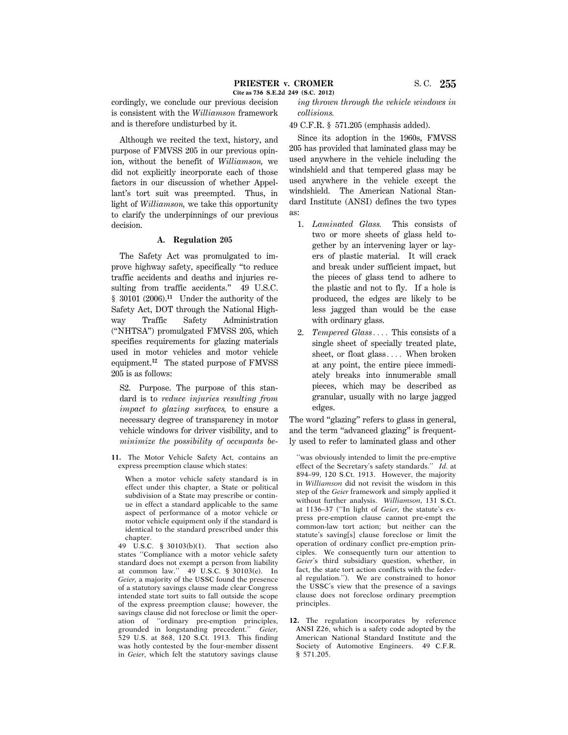cordingly, we conclude our previous decision is consistent with the *Williamson* framework and is therefore undisturbed by it.

Although we recited the text, history, and purpose of FMVSS 205 in our previous opinion, without the benefit of *Williamson,* we did not explicitly incorporate each of those factors in our discussion of whether Appellant's tort suit was preempted. Thus, in light of *Williamson,* we take this opportunity to clarify the underpinnings of our previous decision.

# **A. Regulation 205**

The Safety Act was promulgated to improve highway safety, specifically ''to reduce traffic accidents and deaths and injuries resulting from traffic accidents." 49 U.S.C. § 30101 (2006).**<sup>11</sup>** Under the authority of the Safety Act, DOT through the National Highway Traffic Safety Administration (''NHTSA'') promulgated FMVSS 205, which specifies requirements for glazing materials used in motor vehicles and motor vehicle equipment.**<sup>12</sup>** The stated purpose of FMVSS 205 is as follows:

S2. Purpose. The purpose of this standard is to *reduce injuries resulting from impact to glazing surfaces,* to ensure a necessary degree of transparency in motor vehicle windows for driver visibility, and to *minimize the possibility of occupants be*-

**11.** The Motor Vehicle Safety Act, contains an express preemption clause which states:

When a motor vehicle safety standard is in effect under this chapter, a State or political subdivision of a State may prescribe or continue in effect a standard applicable to the same aspect of performance of a motor vehicle or motor vehicle equipment only if the standard is identical to the standard prescribed under this chapter.

49 U.S.C. § 30103(b)(1). That section also states ''Compliance with a motor vehicle safety standard does not exempt a person from liability at common law."  $49\overline{\smash{\circ}}$  U.S.C. § 30103(e). In *Geier,* a majority of the USSC found the presence of a statutory savings clause made clear Congress intended state tort suits to fall outside the scope of the express preemption clause; however, the savings clause did not foreclose or limit the operation of ''ordinary pre-emption principles, grounded in longstanding precedent.'' *Geier,* 529 U.S. at 868, 120 S.Ct. 1913. This finding was hotly contested by the four-member dissent in *Geier,* which felt the statutory savings clause *ing thrown through the vehicle windows in collisions.*

49 C.F.R. § 571.205 (emphasis added).

Since its adoption in the 1960s, FMVSS 205 has provided that laminated glass may be used anywhere in the vehicle including the windshield and that tempered glass may be used anywhere in the vehicle except the windshield. The American National Standard Institute (ANSI) defines the two types as:

- 1. *Laminated Glass.* This consists of two or more sheets of glass held together by an intervening layer or layers of plastic material. It will crack and break under sufficient impact, but the pieces of glass tend to adhere to the plastic and not to fly. If a hole is produced, the edges are likely to be less jagged than would be the case with ordinary glass.
- 2. *Tempered Glass*.... This consists of a single sheet of specially treated plate, sheet, or float glass $\ldots$ . When broken at any point, the entire piece immediately breaks into innumerable small pieces, which may be described as granular, usually with no large jagged edges.

The word "glazing" refers to glass in general, and the term "advanced glazing" is frequently used to refer to laminated glass and other

**12.** The regulation incorporates by reference ANSI Z26, which is a safety code adopted by the American National Standard Institute and the Society of Automotive Engineers. 49 C.F.R. § 571.205.

<sup>&#</sup>x27;'was obviously intended to limit the pre-emptive effect of the Secretary's safety standards.'' *Id.* at 894–99, 120 S.Ct. 1913. However, the majority in *Williamson* did not revisit the wisdom in this step of the *Geier* framework and simply applied it without further analysis. *Williamson,* 131 S.Ct. at 1136–37 (''In light of *Geier,* the statute's express pre-emption clause cannot pre-empt the common-law tort action; but neither can the statute's saving[s] clause foreclose or limit the operation of ordinary conflict pre-emption principles. We consequently turn our attention to *Geier*'s third subsidiary question, whether, in fact, the state tort action conflicts with the federal regulation.''). We are constrained to honor the USSC's view that the presence of a savings clause does not foreclose ordinary preemption principles.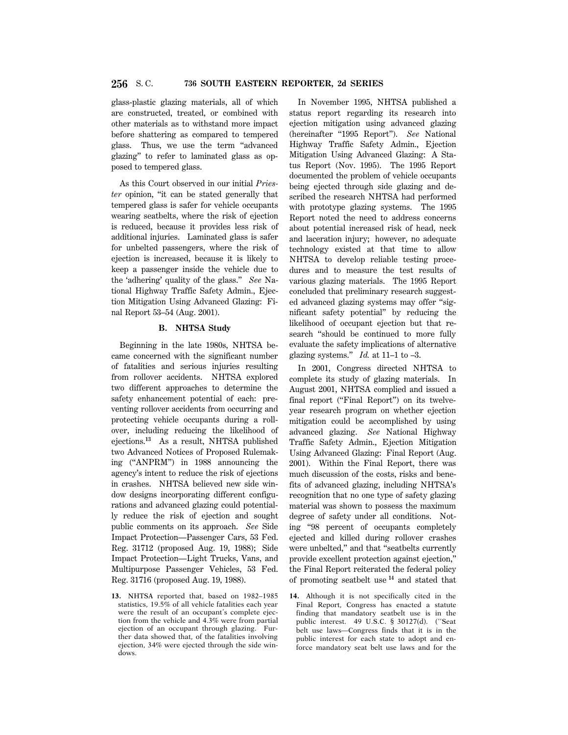glass-plastic glazing materials, all of which are constructed, treated, or combined with other materials as to withstand more impact before shattering as compared to tempered glass. Thus, we use the term ''advanced glazing'' to refer to laminated glass as opposed to tempered glass.

As this Court observed in our initial *Priester* opinion, ''it can be stated generally that tempered glass is safer for vehicle occupants wearing seatbelts, where the risk of ejection is reduced, because it provides less risk of additional injuries. Laminated glass is safer for unbelted passengers, where the risk of ejection is increased, because it is likely to keep a passenger inside the vehicle due to the 'adhering' quality of the glass.'' *See* National Highway Traffic Safety Admin., Ejection Mitigation Using Advanced Glazing: Final Report 53–54 (Aug. 2001).

### **B. NHTSA Study**

Beginning in the late 1980s, NHTSA became concerned with the significant number of fatalities and serious injuries resulting from rollover accidents. NHTSA explored two different approaches to determine the safety enhancement potential of each: preventing rollover accidents from occurring and protecting vehicle occupants during a rollover, including reducing the likelihood of ejections.**<sup>13</sup>** As a result, NHTSA published two Advanced Notices of Proposed Rulemaking (''ANPRM'') in 1988 announcing the agency's intent to reduce the risk of ejections in crashes. NHTSA believed new side window designs incorporating different configurations and advanced glazing could potentially reduce the risk of ejection and sought public comments on its approach. *See* Side Impact Protection—Passenger Cars, 53 Fed. Reg. 31712 (proposed Aug. 19, 1988); Side Impact Protection—Light Trucks, Vans, and Multipurpose Passenger Vehicles, 53 Fed. Reg. 31716 (proposed Aug. 19, 1988).

**13.** NHTSA reported that, based on 1982–1985 statistics, 19.5% of all vehicle fatalities each year were the result of an occupant's complete ejection from the vehicle and 4.3% were from partial ejection of an occupant through glazing. Further data showed that, of the fatalities involving ejection, 34% were ejected through the side windows.

In November 1995, NHTSA published a status report regarding its research into ejection mitigation using advanced glazing (hereinafter "1995 Report"). See National Highway Traffic Safety Admin., Ejection Mitigation Using Advanced Glazing: A Status Report (Nov. 1995). The 1995 Report documented the problem of vehicle occupants being ejected through side glazing and described the research NHTSA had performed with prototype glazing systems. The 1995 Report noted the need to address concerns about potential increased risk of head, neck and laceration injury; however, no adequate technology existed at that time to allow NHTSA to develop reliable testing procedures and to measure the test results of various glazing materials. The 1995 Report concluded that preliminary research suggested advanced glazing systems may offer ''significant safety potential'' by reducing the likelihood of occupant ejection but that research ''should be continued to more fully evaluate the safety implications of alternative glazing systems." *Id.* at  $11-1$  to  $-3$ .

In 2001, Congress directed NHTSA to complete its study of glazing materials. In August 2001, NHTSA complied and issued a final report ("Final Report") on its twelveyear research program on whether ejection mitigation could be accomplished by using advanced glazing. *See* National Highway Traffic Safety Admin., Ejection Mitigation Using Advanced Glazing: Final Report (Aug. 2001). Within the Final Report, there was much discussion of the costs, risks and benefits of advanced glazing, including NHTSA's recognition that no one type of safety glazing material was shown to possess the maximum degree of safety under all conditions. Noting ''98 percent of occupants completely ejected and killed during rollover crashes were unbelted,'' and that ''seatbelts currently provide excellent protection against ejection,'' the Final Report reiterated the federal policy of promoting seatbelt use **<sup>14</sup>** and stated that

**14.** Although it is not specifically cited in the Final Report, Congress has enacted a statute finding that mandatory seatbelt use is in the public interest. 49 U.S.C. § 30127(d). (''Seat belt use laws—Congress finds that it is in the public interest for each state to adopt and enforce mandatory seat belt use laws and for the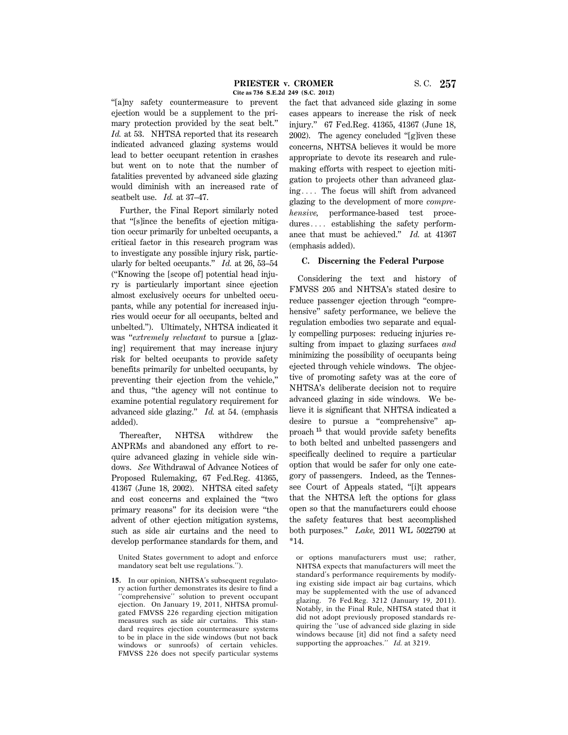''[a]ny safety countermeasure to prevent ejection would be a supplement to the primary protection provided by the seat belt.'' *Id.* at 53. NHTSA reported that its research indicated advanced glazing systems would lead to better occupant retention in crashes but went on to note that the number of fatalities prevented by advanced side glazing would diminish with an increased rate of seatbelt use. *Id.* at 37–47.

Further, the Final Report similarly noted that ''[s]ince the benefits of ejection mitigation occur primarily for unbelted occupants, a critical factor in this research program was to investigate any possible injury risk, particularly for belted occupants.'' *Id.* at 26, 53–54 (''Knowing the [scope of] potential head injury is particularly important since ejection almost exclusively occurs for unbelted occupants, while any potential for increased injuries would occur for all occupants, belted and unbelted.''). Ultimately, NHTSA indicated it was ''*extremely reluctant* to pursue a [glazing] requirement that may increase injury risk for belted occupants to provide safety benefits primarily for unbelted occupants, by preventing their ejection from the vehicle,'' and thus, ''the agency will not continue to examine potential regulatory requirement for advanced side glazing.'' *Id.* at 54. (emphasis added).

Thereafter, NHTSA withdrew the ANPRMs and abandoned any effort to require advanced glazing in vehicle side windows. *See* Withdrawal of Advance Notices of Proposed Rulemaking, 67 Fed.Reg. 41365, 41367 (June 18, 2002). NHTSA cited safety and cost concerns and explained the ''two primary reasons'' for its decision were ''the advent of other ejection mitigation systems, such as side air curtains and the need to develop performance standards for them, and the fact that advanced side glazing in some cases appears to increase the risk of neck injury.'' 67 Fed.Reg. 41365, 41367 (June 18, 2002). The agency concluded ''[g]iven these concerns, NHTSA believes it would be more appropriate to devote its research and rulemaking efforts with respect to ejection mitigation to projects other than advanced glaz $ing...$  The focus will shift from advanced glazing to the development of more *comprehensive,* performance-based test proce $dures...$  establishing the safety performance that must be achieved.'' *Id.* at 41367 (emphasis added).

# **C. Discerning the Federal Purpose**

Considering the text and history of FMVSS 205 and NHTSA's stated desire to reduce passenger ejection through ''comprehensive'' safety performance, we believe the regulation embodies two separate and equally compelling purposes: reducing injuries resulting from impact to glazing surfaces *and* minimizing the possibility of occupants being ejected through vehicle windows. The objective of promoting safety was at the core of NHTSA's deliberate decision not to require advanced glazing in side windows. We believe it is significant that NHTSA indicated a desire to pursue a ''comprehensive'' approach **<sup>15</sup>** that would provide safety benefits to both belted and unbelted passengers and specifically declined to require a particular option that would be safer for only one category of passengers. Indeed, as the Tennessee Court of Appeals stated, ''[i]t appears that the NHTSA left the options for glass open so that the manufacturers could choose the safety features that best accomplished both purposes.'' *Lake,* 2011 WL 5022790 at \*14.

or options manufacturers must use; rather, NHTSA expects that manufacturers will meet the standard's performance requirements by modifying existing side impact air bag curtains, which may be supplemented with the use of advanced glazing. 76 Fed.Reg. 3212 (January 19, 2011). Notably, in the Final Rule, NHTSA stated that it did not adopt previously proposed standards requiring the ''use of advanced side glazing in side windows because [it] did not find a safety need supporting the approaches.'' *Id.* at 3219.

United States government to adopt and enforce mandatory seat belt use regulations.'').

**<sup>15.</sup>** In our opinion, NHTSA's subsequent regulatory action further demonstrates its desire to find a 'comprehensive'' solution to prevent occupant ejection. On January 19, 2011, NHTSA promulgated FMVSS 226 regarding ejection mitigation measures such as side air curtains. This standard requires ejection countermeasure systems to be in place in the side windows (but not back windows or sunroofs) of certain vehicles. FMVSS 226 does not specify particular systems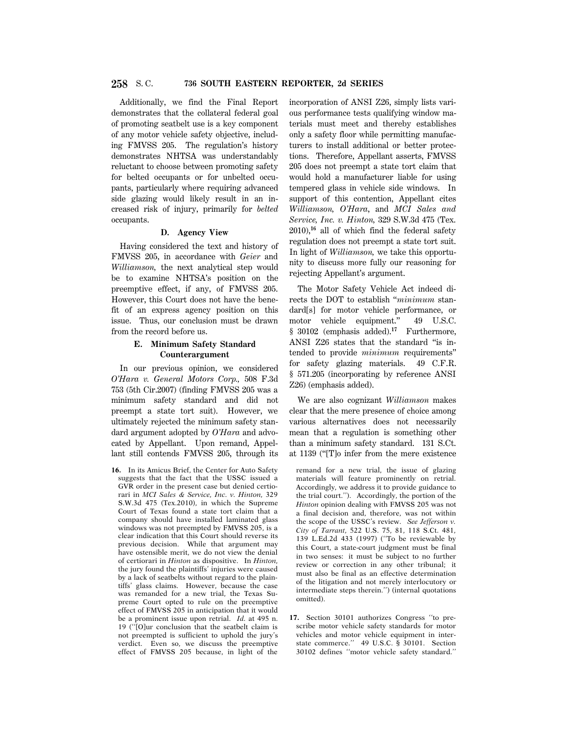Additionally, we find the Final Report demonstrates that the collateral federal goal of promoting seatbelt use is a key component of any motor vehicle safety objective, including FMVSS 205. The regulation's history demonstrates NHTSA was understandably reluctant to choose between promoting safety for belted occupants or for unbelted occupants, particularly where requiring advanced side glazing would likely result in an increased risk of injury, primarily for *belted* occupants.

#### **D. Agency View**

Having considered the text and history of FMVSS 205, in accordance with *Geier* and *Williamson,* the next analytical step would be to examine NHTSA's position on the preemptive effect, if any, of FMVSS 205. However, this Court does not have the benefit of an express agency position on this issue. Thus, our conclusion must be drawn from the record before us.

# **E. Minimum Safety Standard Counterargument**

In our previous opinion, we considered *O'Hara v. General Motors Corp.,* 508 F.3d 753 (5th Cir.2007) (finding FMVSS 205 was a minimum safety standard and did not preempt a state tort suit). However, we ultimately rejected the minimum safety standard argument adopted by *O'Hara* and advocated by Appellant. Upon remand, Appellant still contends FMVSS 205, through its

**16.** In its Amicus Brief, the Center for Auto Safety suggests that the fact that the USSC issued a GVR order in the present case but denied certiorari in *MCI Sales & Service, Inc. v. Hinton,* 329 S.W.3d 475 (Tex.2010), in which the Supreme Court of Texas found a state tort claim that a company should have installed laminated glass windows was not preempted by FMVSS 205, is a clear indication that this Court should reverse its previous decision. While that argument may have ostensible merit, we do not view the denial of certiorari in *Hinton* as dispositive. In *Hinton,* the jury found the plaintiffs' injuries were caused by a lack of seatbelts without regard to the plaintiffs' glass claims. However, because the case was remanded for a new trial, the Texas Supreme Court opted to rule on the preemptive effect of FMVSS 205 in anticipation that it would be a prominent issue upon retrial. *Id.* at 495 n. 19 (''[O]ur conclusion that the seatbelt claim is not preempted is sufficient to uphold the jury's verdict. Even so, we discuss the preemptive effect of FMVSS 205 because, in light of the incorporation of ANSI Z26, simply lists various performance tests qualifying window materials must meet and thereby establishes only a safety floor while permitting manufacturers to install additional or better protections. Therefore, Appellant asserts, FMVSS 205 does not preempt a state tort claim that would hold a manufacturer liable for using tempered glass in vehicle side windows. In support of this contention, Appellant cites *Williamson, O'Hara*, and *MCI Sales and Service, Inc. v. Hinton,* 329 S.W.3d 475 (Tex. 2010),**<sup>16</sup>** all of which find the federal safety regulation does not preempt a state tort suit. In light of *Williamson,* we take this opportunity to discuss more fully our reasoning for rejecting Appellant's argument.

The Motor Safety Vehicle Act indeed directs the DOT to establish ''*minimum* standard[s] for motor vehicle performance, or motor vehicle equipment." 49 U.S.C. § 30102 (emphasis added).**<sup>17</sup>** Furthermore, ANSI Z26 states that the standard ''is intended to provide *minimum* requirements'' for safety glazing materials. 49 C.F.R. § 571.205 (incorporating by reference ANSI Z26) (emphasis added).

We are also cognizant *Williamson* makes clear that the mere presence of choice among various alternatives does not necessarily mean that a regulation is something other than a minimum safety standard. 131 S.Ct. at 1139 (''[T]o infer from the mere existence

remand for a new trial, the issue of glazing materials will feature prominently on retrial. Accordingly, we address it to provide guidance to the trial court.''). Accordingly, the portion of the *Hinton* opinion dealing with FMVSS 205 was not a final decision and, therefore, was not within the scope of the USSC's review. *See Jefferson v. City of Tarrant,* 522 U.S. 75, 81, 118 S.Ct. 481, 139 L.Ed.2d 433 (1997) (''To be reviewable by this Court, a state-court judgment must be final in two senses: it must be subject to no further review or correction in any other tribunal; it must also be final as an effective determination of the litigation and not merely interlocutory or intermediate steps therein.'') (internal quotations omitted).

**17.** Section 30101 authorizes Congress ''to prescribe motor vehicle safety standards for motor vehicles and motor vehicle equipment in interstate commerce.'' 49 U.S.C. § 30101. Section 30102 defines ''motor vehicle safety standard.''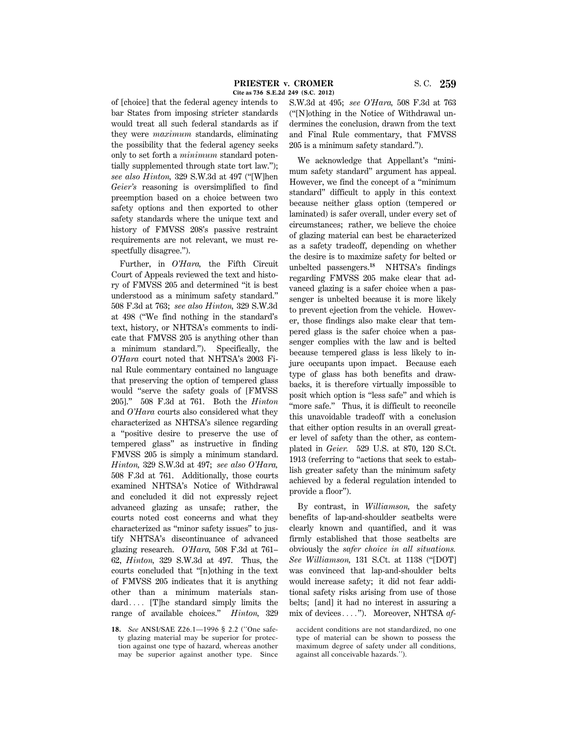of [choice] that the federal agency intends to bar States from imposing stricter standards would treat all such federal standards as if they were *maximum* standards, eliminating the possibility that the federal agency seeks only to set forth a *minimum* standard potentially supplemented through state tort law.''); *see also Hinton,* 329 S.W.3d at 497 (''[W]hen *Geier's* reasoning is oversimplified to find preemption based on a choice between two safety options and then exported to other safety standards where the unique text and history of FMVSS 208's passive restraint requirements are not relevant, we must respectfully disagree.'').

Further, in *O'Hara,* the Fifth Circuit Court of Appeals reviewed the text and history of FMVSS 205 and determined ''it is best understood as a minimum safety standard.'' 508 F.3d at 763; *see also Hinton,* 329 S.W.3d at 498 (''We find nothing in the standard's text, history, or NHTSA's comments to indicate that FMVSS 205 is anything other than a minimum standard.''). Specifically, the *O'Hara* court noted that NHTSA's 2003 Final Rule commentary contained no language that preserving the option of tempered glass would ''serve the safety goals of [FMVSS 205].'' 508 F.3d at 761. Both the *Hinton* and *O'Hara* courts also considered what they characterized as NHTSA's silence regarding a ''positive desire to preserve the use of tempered glass'' as instructive in finding FMVSS 205 is simply a minimum standard. *Hinton,* 329 S.W.3d at 497; *see also O'Hara,* 508 F.3d at 761. Additionally, those courts examined NHTSA's Notice of Withdrawal and concluded it did not expressly reject advanced glazing as unsafe; rather, the courts noted cost concerns and what they characterized as ''minor safety issues'' to justify NHTSA's discontinuance of advanced glazing research. *O'Hara,* 508 F.3d at 761– 62, *Hinton,* 329 S.W.3d at 497. Thus, the courts concluded that ''[n]othing in the text of FMVSS 205 indicates that it is anything other than a minimum materials standard $\dots$  [T]he standard simply limits the range of available choices.'' *Hinton,* 329

S.W.3d at 495; *see O'Hara,* 508 F.3d at 763 (''[N]othing in the Notice of Withdrawal undermines the conclusion, drawn from the text and Final Rule commentary, that FMVSS 205 is a minimum safety standard.'').

We acknowledge that Appellant's ''minimum safety standard'' argument has appeal. However, we find the concept of a ''minimum standard'' difficult to apply in this context because neither glass option (tempered or laminated) is safer overall, under every set of circumstances; rather, we believe the choice of glazing material can best be characterized as a safety tradeoff, depending on whether the desire is to maximize safety for belted or unbelted passengers.**<sup>18</sup>** NHTSA's findings regarding FMVSS 205 make clear that advanced glazing is a safer choice when a passenger is unbelted because it is more likely to prevent ejection from the vehicle. However, those findings also make clear that tempered glass is the safer choice when a passenger complies with the law and is belted because tempered glass is less likely to injure occupants upon impact. Because each type of glass has both benefits and drawbacks, it is therefore virtually impossible to posit which option is ''less safe'' and which is "more safe." Thus, it is difficult to reconcile this unavoidable tradeoff with a conclusion that either option results in an overall greater level of safety than the other, as contemplated in *Geier.* 529 U.S. at 870, 120 S.Ct. 1913 (referring to ''actions that seek to establish greater safety than the minimum safety achieved by a federal regulation intended to provide a floor'').

By contrast, in *Williamson,* the safety benefits of lap-and-shoulder seatbelts were clearly known and quantified, and it was firmly established that those seatbelts are obviously the *safer choice in all situations. See Williamson,* 131 S.Ct. at 1138 (''[DOT] was convinced that lap-and-shoulder belts would increase safety; it did not fear additional safety risks arising from use of those belts; [and] it had no interest in assuring a mix of devices...."). Moreover, NHTSA *af*-

accident conditions are not standardized, no one type of material can be shown to possess the maximum degree of safety under all conditions, against all conceivable hazards.'').

**<sup>18.</sup>** *See* ANSI/SAE Z26.1—1996 § 2.2 (''One safety glazing material may be superior for protection against one type of hazard, whereas another may be superior against another type. Since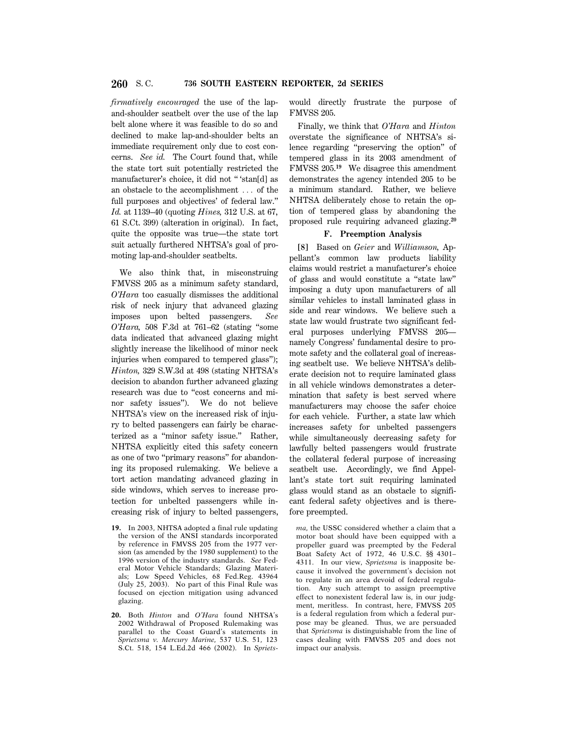*firmatively encouraged* the use of the lapand-shoulder seatbelt over the use of the lap belt alone where it was feasible to do so and declined to make lap-and-shoulder belts an immediate requirement only due to cost concerns. *See id.* The Court found that, while the state tort suit potentially restricted the manufacturer's choice, it did not '' 'stan[d] as an obstacle to the accomplishment  $\ldots$  of the full purposes and objectives' of federal law.'' *Id.* at 1139–40 (quoting *Hines,* 312 U.S. at 67, 61 S.Ct. 399) (alteration in original). In fact, quite the opposite was true—the state tort suit actually furthered NHTSA's goal of promoting lap-and-shoulder seatbelts.

We also think that, in misconstruing FMVSS 205 as a minimum safety standard, *O'Hara* too casually dismisses the additional risk of neck injury that advanced glazing imposes upon belted passengers. *See O'Hara,* 508 F.3d at 761–62 (stating ''some data indicated that advanced glazing might slightly increase the likelihood of minor neck injuries when compared to tempered glass''); *Hinton,* 329 S.W.3d at 498 (stating NHTSA's decision to abandon further advanced glazing research was due to ''cost concerns and minor safety issues''). We do not believe NHTSA's view on the increased risk of injury to belted passengers can fairly be characterized as a ''minor safety issue.'' Rather, NHTSA explicitly cited this safety concern as one of two ''primary reasons'' for abandoning its proposed rulemaking. We believe a tort action mandating advanced glazing in side windows, which serves to increase protection for unbelted passengers while increasing risk of injury to belted passengers,

- **19.** In 2003, NHTSA adopted a final rule updating the version of the ANSI standards incorporated by reference in FMVSS 205 from the 1977 version (as amended by the 1980 supplement) to the 1996 version of the industry standards. *See* Federal Motor Vehicle Standards; Glazing Materials; Low Speed Vehicles, 68 Fed.Reg. 43964 (July 25, 2003). No part of this Final Rule was focused on ejection mitigation using advanced glazing.
- **20.** Both *Hinton* and *O'Hara* found NHTSA's 2002 Withdrawal of Proposed Rulemaking was parallel to the Coast Guard's statements in *Sprietsma v. Mercury Marine,* 537 U.S. 51, 123 S.Ct. 518, 154 L.Ed.2d 466 (2002). In *Spriets*-

would directly frustrate the purpose of FMVSS 205.

Finally, we think that *O'Hara* and *Hinton* overstate the significance of NHTSA's silence regarding ''preserving the option'' of tempered glass in its 2003 amendment of FMVSS 205.**<sup>19</sup>** We disagree this amendment demonstrates the agency intended 205 to be a minimum standard. Rather, we believe NHTSA deliberately chose to retain the option of tempered glass by abandoning the proposed rule requiring advanced glazing.**<sup>20</sup>**

# **F. Preemption Analysis**

**[8]** Based on *Geier* and *Williamson,* Appellant's common law products liability claims would restrict a manufacturer's choice of glass and would constitute a ''state law'' imposing a duty upon manufacturers of all similar vehicles to install laminated glass in side and rear windows. We believe such a state law would frustrate two significant federal purposes underlying FMVSS 205 namely Congress' fundamental desire to promote safety and the collateral goal of increasing seatbelt use. We believe NHTSA's deliberate decision not to require laminated glass in all vehicle windows demonstrates a determination that safety is best served where manufacturers may choose the safer choice for each vehicle. Further, a state law which increases safety for unbelted passengers while simultaneously decreasing safety for lawfully belted passengers would frustrate the collateral federal purpose of increasing seatbelt use. Accordingly, we find Appellant's state tort suit requiring laminated glass would stand as an obstacle to significant federal safety objectives and is therefore preempted.

*ma,* the USSC considered whether a claim that a motor boat should have been equipped with a propeller guard was preempted by the Federal Boat Safety Act of 1972, 46 U.S.C. §§ 4301– 4311. In our view, *Sprietsma* is inapposite because it involved the government's decision not to regulate in an area devoid of federal regulation. Any such attempt to assign preemptive effect to nonexistent federal law is, in our judgment, meritless. In contrast, here, FMVSS 205 is a federal regulation from which a federal purpose may be gleaned. Thus, we are persuaded that *Sprietsma* is distinguishable from the line of cases dealing with FMVSS 205 and does not impact our analysis.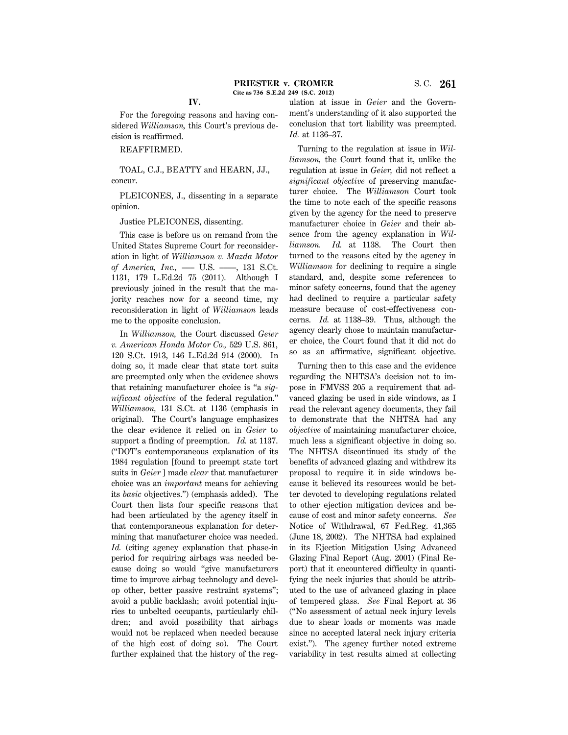For the foregoing reasons and having considered *Williamson,* this Court's previous decision is reaffirmed.

REAFFIRMED.

TOAL, C.J., BEATTY and HEARN, JJ., concur.

PLEICONES, J., dissenting in a separate opinion.

Justice PLEICONES, dissenting.

This case is before us on remand from the United States Supreme Court for reconsideration in light of *Williamson v. Mazda Motor of America, Inc.,* —– U.S. —–, 131 S.Ct. 1131, 179 L.Ed.2d 75 (2011). Although I previously joined in the result that the majority reaches now for a second time, my reconsideration in light of *Williamson* leads me to the opposite conclusion.

In *Williamson,* the Court discussed *Geier v. American Honda Motor Co.,* 529 U.S. 861, 120 S.Ct. 1913, 146 L.Ed.2d 914 (2000). In doing so, it made clear that state tort suits are preempted only when the evidence shows that retaining manufacturer choice is ''a *significant objective* of the federal regulation.'' *Williamson,* 131 S.Ct. at 1136 (emphasis in original). The Court's language emphasizes the clear evidence it relied on in *Geier* to support a finding of preemption. *Id.* at 1137. (''DOT's contemporaneous explanation of its 1984 regulation [found to preempt state tort suits in *Geier* ] made *clear* that manufacturer choice was an *important* means for achieving its *basic* objectives.'') (emphasis added). The Court then lists four specific reasons that had been articulated by the agency itself in that contemporaneous explanation for determining that manufacturer choice was needed. *Id.* (citing agency explanation that phase-in period for requiring airbags was needed because doing so would ''give manufacturers time to improve airbag technology and develop other, better passive restraint systems''; avoid a public backlash; avoid potential injuries to unbelted occupants, particularly children; and avoid possibility that airbags would not be replaced when needed because of the high cost of doing so). The Court further explained that the history of the regulation at issue in *Geier* and the Government's understanding of it also supported the conclusion that tort liability was preempted. *Id.* at 1136–37.

Turning to the regulation at issue in *Williamson,* the Court found that it, unlike the regulation at issue in *Geier,* did not reflect a *significant objective* of preserving manufacturer choice. The *Williamson* Court took the time to note each of the specific reasons given by the agency for the need to preserve manufacturer choice in *Geier* and their absence from the agency explanation in *Williamson. Id.* at 1138. The Court then turned to the reasons cited by the agency in *Williamson* for declining to require a single standard, and, despite some references to minor safety concerns, found that the agency had declined to require a particular safety measure because of cost-effectiveness concerns. *Id.* at 1138–39. Thus, although the agency clearly chose to maintain manufacturer choice, the Court found that it did not do so as an affirmative, significant objective.

Turning then to this case and the evidence regarding the NHTSA's decision not to impose in FMVSS 205 a requirement that advanced glazing be used in side windows, as I read the relevant agency documents, they fail to demonstrate that the NHTSA had any *objective* of maintaining manufacturer choice, much less a significant objective in doing so. The NHTSA discontinued its study of the benefits of advanced glazing and withdrew its proposal to require it in side windows because it believed its resources would be better devoted to developing regulations related to other ejection mitigation devices and because of cost and minor safety concerns. *See* Notice of Withdrawal, 67 Fed.Reg. 41,365 (June 18, 2002). The NHTSA had explained in its Ejection Mitigation Using Advanced Glazing Final Report (Aug. 2001) (Final Report) that it encountered difficulty in quantifying the neck injuries that should be attributed to the use of advanced glazing in place of tempered glass. *See* Final Report at 36 (''No assessment of actual neck injury levels due to shear loads or moments was made since no accepted lateral neck injury criteria exist.''). The agency further noted extreme variability in test results aimed at collecting